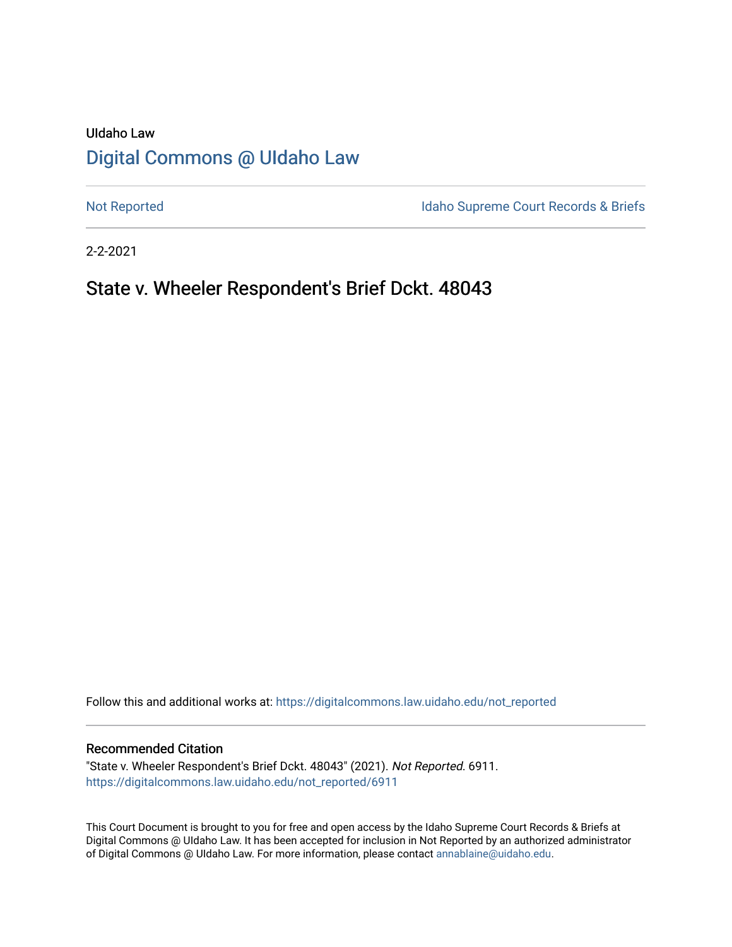# UIdaho Law [Digital Commons @ UIdaho Law](https://digitalcommons.law.uidaho.edu/)

[Not Reported](https://digitalcommons.law.uidaho.edu/not_reported) **Idaho Supreme Court Records & Briefs** 

2-2-2021

# State v. Wheeler Respondent's Brief Dckt. 48043

Follow this and additional works at: [https://digitalcommons.law.uidaho.edu/not\\_reported](https://digitalcommons.law.uidaho.edu/not_reported?utm_source=digitalcommons.law.uidaho.edu%2Fnot_reported%2F6911&utm_medium=PDF&utm_campaign=PDFCoverPages) 

#### Recommended Citation

"State v. Wheeler Respondent's Brief Dckt. 48043" (2021). Not Reported. 6911. [https://digitalcommons.law.uidaho.edu/not\\_reported/6911](https://digitalcommons.law.uidaho.edu/not_reported/6911?utm_source=digitalcommons.law.uidaho.edu%2Fnot_reported%2F6911&utm_medium=PDF&utm_campaign=PDFCoverPages)

This Court Document is brought to you for free and open access by the Idaho Supreme Court Records & Briefs at Digital Commons @ UIdaho Law. It has been accepted for inclusion in Not Reported by an authorized administrator of Digital Commons @ UIdaho Law. For more information, please contact [annablaine@uidaho.edu](mailto:annablaine@uidaho.edu).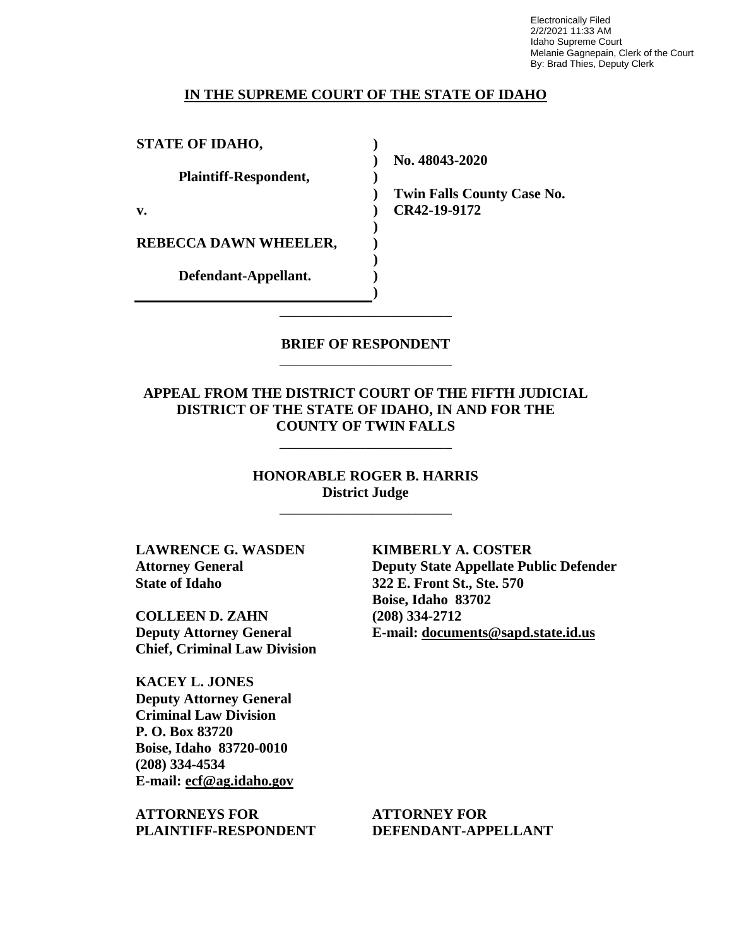Electronically Filed 2/2/2021 11:33 AM Idaho Supreme Court Melanie Gagnepain, Clerk of the Court By: Brad Thies, Deputy Clerk

#### **IN THE SUPREME COURT OF THE STATE OF IDAHO**

**) ) ) ) ) ) ) ) ) )**

**STATE OF IDAHO,**

**Plaintiff-Respondent,**

**v.** 

**REBECCA DAWN WHEELER,** 

**Defendant-Appellant.**

**No. 48043-2020** 

**Twin Falls County Case No. CR42-19-9172** 

### **BRIEF OF RESPONDENT** \_\_\_\_\_\_\_\_\_\_\_\_\_\_\_\_\_\_\_\_\_\_\_\_

\_\_\_\_\_\_\_\_\_\_\_\_\_\_\_\_\_\_\_\_\_\_\_\_

### **APPEAL FROM THE DISTRICT COURT OF THE FIFTH JUDICIAL DISTRICT OF THE STATE OF IDAHO, IN AND FOR THE COUNTY OF TWIN FALLS**

\_\_\_\_\_\_\_\_\_\_\_\_\_\_\_\_\_\_\_\_\_\_\_\_

**HONORABLE ROGER B. HARRIS District Judge**

\_\_\_\_\_\_\_\_\_\_\_\_\_\_\_\_\_\_\_\_\_\_\_\_

**LAWRENCE G. WASDEN Attorney General State of Idaho**

**COLLEEN D. ZAHN Deputy Attorney General Chief, Criminal Law Division**

**KACEY L. JONES Deputy Attorney General Criminal Law Division P. O. Box 83720 Boise, Idaho 83720-0010 (208) 334-4534 E-mail: ecf@ag.idaho.gov** 

**ATTORNEYS FOR PLAINTIFF-RESPONDENT** **KIMBERLY A. COSTER Deputy State Appellate Public Defender 322 E. Front St., Ste. 570 Boise, Idaho 83702 (208) 334-2712 E-mail: documents@sapd.state.id.us** 

**ATTORNEY FOR DEFENDANT-APPELLANT**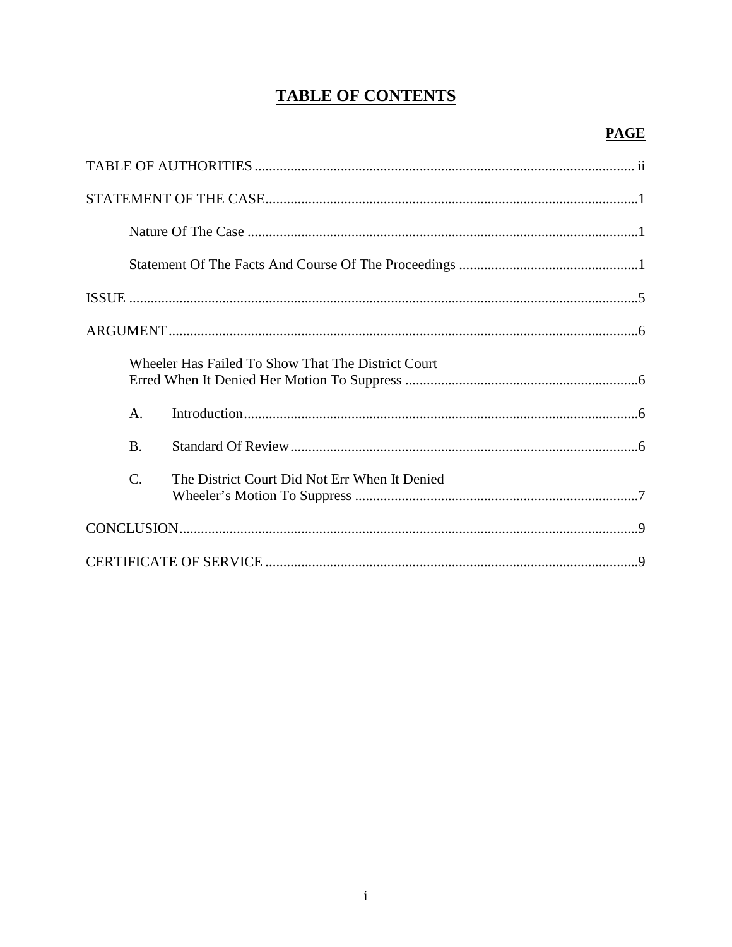# **TABLE OF CONTENTS**

|                 | Wheeler Has Failed To Show That The District Court |  |
|-----------------|----------------------------------------------------|--|
| A.              |                                                    |  |
| <b>B.</b>       |                                                    |  |
| $\mathcal{C}$ . | The District Court Did Not Err When It Denied      |  |
|                 |                                                    |  |
|                 |                                                    |  |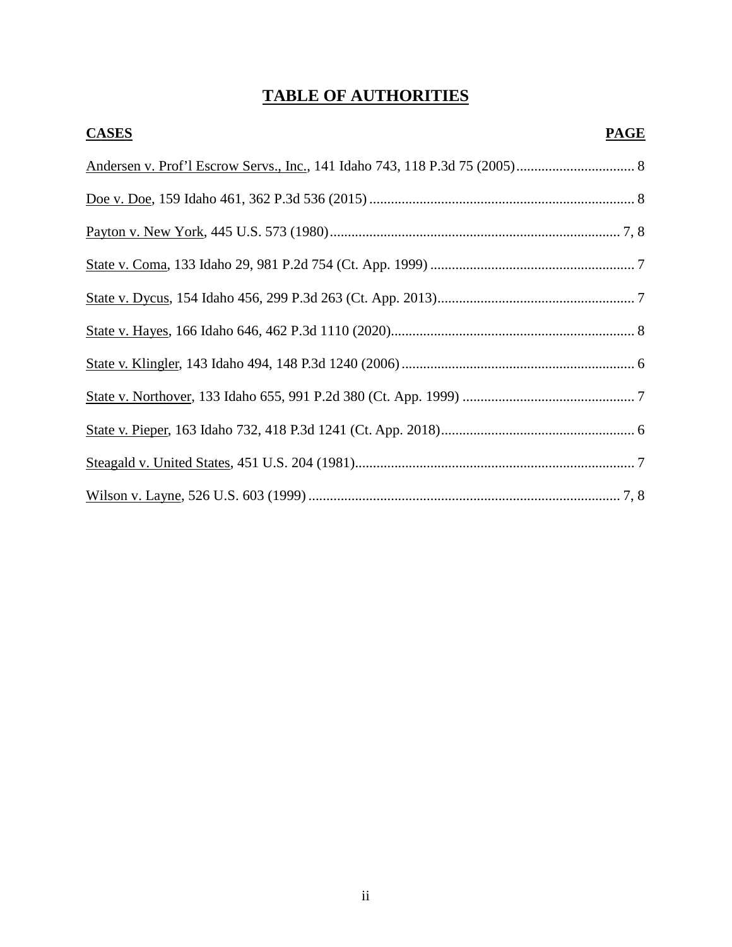# **TABLE OF AUTHORITIES**

| <b>CASES</b> | <b>PAGE</b> |
|--------------|-------------|
|              |             |
|              |             |
|              |             |
|              |             |
|              |             |
|              |             |
|              |             |
|              |             |
|              |             |
|              |             |
|              |             |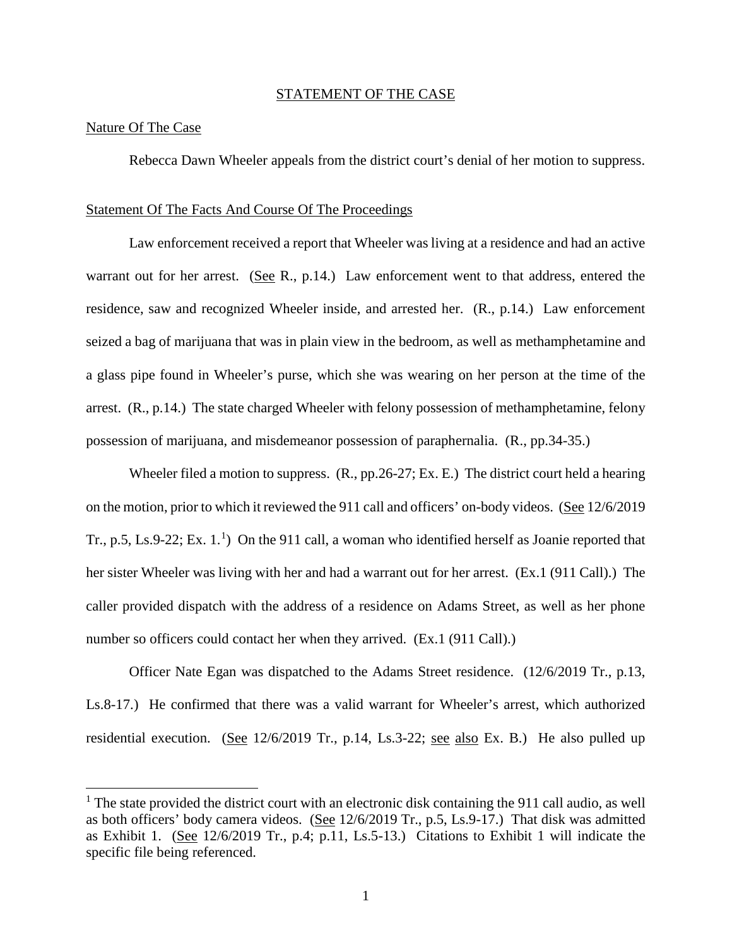#### STATEMENT OF THE CASE

#### Nature Of The Case

 $\overline{a}$ 

Rebecca Dawn Wheeler appeals from the district court's denial of her motion to suppress.

#### Statement Of The Facts And Course Of The Proceedings

Law enforcement received a report that Wheeler was living at a residence and had an active warrant out for her arrest. (See R., p.14.) Law enforcement went to that address, entered the residence, saw and recognized Wheeler inside, and arrested her. (R., p.14.) Law enforcement seized a bag of marijuana that was in plain view in the bedroom, as well as methamphetamine and a glass pipe found in Wheeler's purse, which she was wearing on her person at the time of the arrest. (R., p.14.) The state charged Wheeler with felony possession of methamphetamine, felony possession of marijuana, and misdemeanor possession of paraphernalia. (R., pp.34-35.)

Wheeler filed a motion to suppress. (R., pp.26-27; Ex. E.) The district court held a hearing on the motion, prior to which it reviewed the 911 call and officers' on-body videos. (See 12/6/2019 Tr., p.5, Ls.9-22; Ex. [1](#page-4-0).<sup>1</sup>) On the 911 call, a woman who identified herself as Joanie reported that her sister Wheeler was living with her and had a warrant out for her arrest. (Ex.1 (911 Call).) The caller provided dispatch with the address of a residence on Adams Street, as well as her phone number so officers could contact her when they arrived. (Ex.1 (911 Call).)

Officer Nate Egan was dispatched to the Adams Street residence. (12/6/2019 Tr., p.13, Ls.8-17.) He confirmed that there was a valid warrant for Wheeler's arrest, which authorized residential execution. (See 12/6/2019 Tr., p.14, Ls.3-22; see also Ex. B.) He also pulled up

<span id="page-4-0"></span> $1$ . The state provided the district court with an electronic disk containing the 911 call audio, as well as both officers' body camera videos. (See 12/6/2019 Tr., p.5, Ls.9-17.) That disk was admitted as Exhibit 1. (See 12/6/2019 Tr., p.4; p.11, Ls.5-13.) Citations to Exhibit 1 will indicate the specific file being referenced.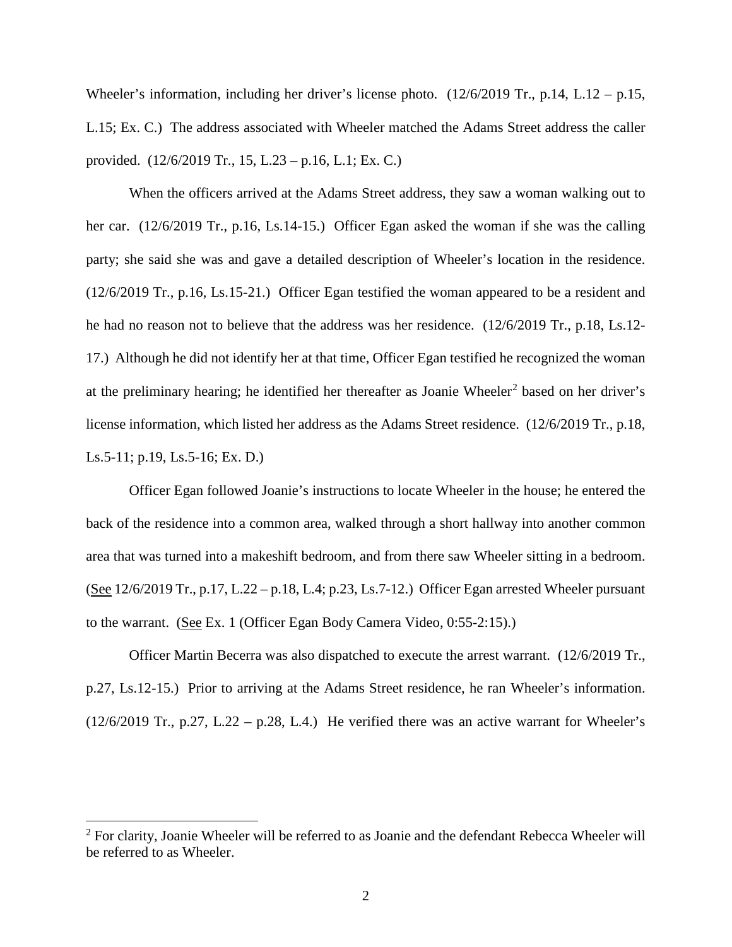Wheeler's information, including her driver's license photo. (12/6/2019 Tr., p.14, L.12 – p.15, L.15; Ex. C.) The address associated with Wheeler matched the Adams Street address the caller provided. (12/6/2019 Tr., 15, L.23 – p.16, L.1; Ex. C.)

When the officers arrived at the Adams Street address, they saw a woman walking out to her car. (12/6/2019 Tr., p.16, Ls.14-15.) Officer Egan asked the woman if she was the calling party; she said she was and gave a detailed description of Wheeler's location in the residence. (12/6/2019 Tr., p.16, Ls.15-21.) Officer Egan testified the woman appeared to be a resident and he had no reason not to believe that the address was her residence. (12/6/2019 Tr., p.18, Ls.12- 17.) Although he did not identify her at that time, Officer Egan testified he recognized the woman at the preliminary hearing; he identified her thereafter as Joanie Wheeler<sup>[2](#page-5-0)</sup> based on her driver's license information, which listed her address as the Adams Street residence. (12/6/2019 Tr., p.18, Ls.5-11; p.19, Ls.5-16; Ex. D.)

Officer Egan followed Joanie's instructions to locate Wheeler in the house; he entered the back of the residence into a common area, walked through a short hallway into another common area that was turned into a makeshift bedroom, and from there saw Wheeler sitting in a bedroom. (See 12/6/2019 Tr., p.17, L.22 – p.18, L.4; p.23, Ls.7-12.) Officer Egan arrested Wheeler pursuant to the warrant. (See Ex. 1 (Officer Egan Body Camera Video, 0:55-2:15).)

Officer Martin Becerra was also dispatched to execute the arrest warrant. (12/6/2019 Tr., p.27, Ls.12-15.) Prior to arriving at the Adams Street residence, he ran Wheeler's information.  $(12/6/2019$  Tr., p.27, L.22 – p.28, L.4.) He verified there was an active warrant for Wheeler's

 $\overline{a}$ 

<span id="page-5-0"></span><sup>&</sup>lt;sup>2</sup> For clarity, Joanie Wheeler will be referred to as Joanie and the defendant Rebecca Wheeler will be referred to as Wheeler.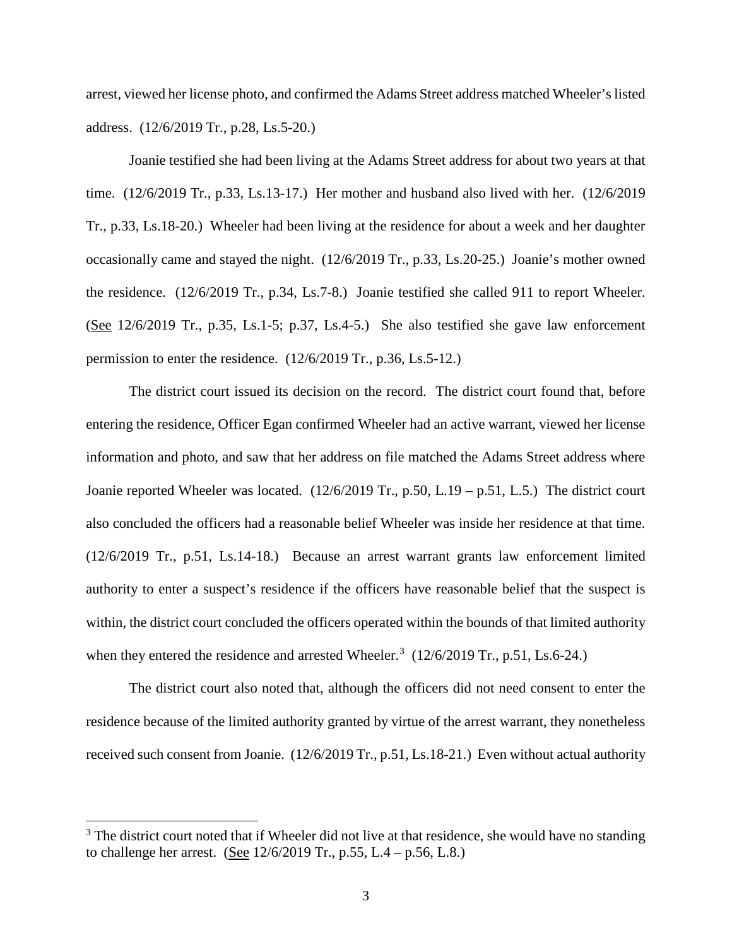arrest, viewed her license photo, and confirmed the Adams Street address matched Wheeler's listed address. (12/6/2019 Tr., p.28, Ls.5-20.)

Joanie testified she had been living at the Adams Street address for about two years at that time. (12/6/2019 Tr., p.33, Ls.13-17.) Her mother and husband also lived with her. (12/6/2019 Tr., p.33, Ls.18-20.) Wheeler had been living at the residence for about a week and her daughter occasionally came and stayed the night. (12/6/2019 Tr., p.33, Ls.20-25.) Joanie's mother owned the residence. (12/6/2019 Tr., p.34, Ls.7-8.) Joanie testified she called 911 to report Wheeler. (See 12/6/2019 Tr., p.35, Ls.1-5; p.37, Ls.4-5.) She also testified she gave law enforcement permission to enter the residence. (12/6/2019 Tr., p.36, Ls.5-12.)

The district court issued its decision on the record. The district court found that, before entering the residence, Officer Egan confirmed Wheeler had an active warrant, viewed her license information and photo, and saw that her address on file matched the Adams Street address where Joanie reported Wheeler was located. (12/6/2019 Tr., p.50, L.19 – p.51, L.5.) The district court also concluded the officers had a reasonable belief Wheeler was inside her residence at that time. (12/6/2019 Tr., p.51, Ls.14-18.) Because an arrest warrant grants law enforcement limited authority to enter a suspect's residence if the officers have reasonable belief that the suspect is within, the district court concluded the officers operated within the bounds of that limited authority when they entered the residence and arrested Wheeler.<sup>[3](#page-6-0)</sup>  $(12/6/2019 \text{ Tr.}, \text{p.51}, \text{Ls.6-24.})$ 

The district court also noted that, although the officers did not need consent to enter the residence because of the limited authority granted by virtue of the arrest warrant, they nonetheless received such consent from Joanie. (12/6/2019 Tr., p.51, Ls.18-21.) Even without actual authority

 $\overline{a}$ 

<span id="page-6-0"></span><sup>&</sup>lt;sup>3</sup> The district court noted that if Wheeler did not live at that residence, she would have no standing to challenge her arrest. (See  $12/6/2019$  Tr., p.55, L.4 – p.56, L.8.)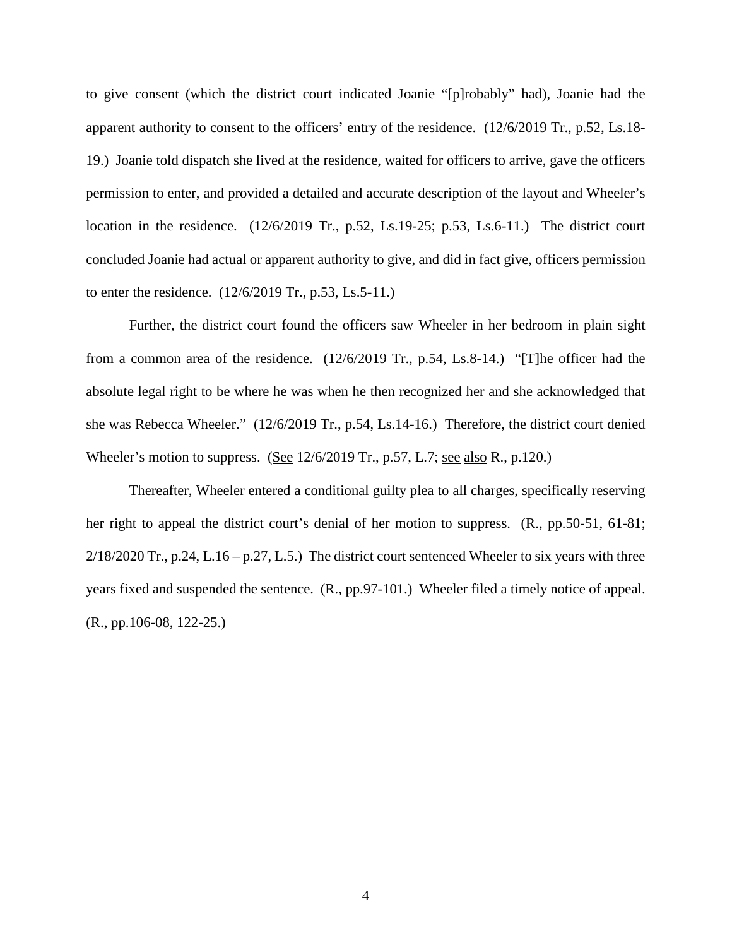to give consent (which the district court indicated Joanie "[p]robably" had), Joanie had the apparent authority to consent to the officers' entry of the residence. (12/6/2019 Tr., p.52, Ls.18- 19.) Joanie told dispatch she lived at the residence, waited for officers to arrive, gave the officers permission to enter, and provided a detailed and accurate description of the layout and Wheeler's location in the residence. (12/6/2019 Tr., p.52, Ls.19-25; p.53, Ls.6-11.) The district court concluded Joanie had actual or apparent authority to give, and did in fact give, officers permission to enter the residence. (12/6/2019 Tr., p.53, Ls.5-11.)

Further, the district court found the officers saw Wheeler in her bedroom in plain sight from a common area of the residence. (12/6/2019 Tr., p.54, Ls.8-14.) "[T]he officer had the absolute legal right to be where he was when he then recognized her and she acknowledged that she was Rebecca Wheeler." (12/6/2019 Tr., p.54, Ls.14-16.) Therefore, the district court denied Wheeler's motion to suppress. (See 12/6/2019 Tr., p.57, L.7; <u>see also</u> R., p.120.)

Thereafter, Wheeler entered a conditional guilty plea to all charges, specifically reserving her right to appeal the district court's denial of her motion to suppress. (R., pp.50-51, 61-81;  $2/18/2020$  Tr., p.24, L.16 – p.27, L.5.) The district court sentenced Wheeler to six years with three years fixed and suspended the sentence. (R., pp.97-101.) Wheeler filed a timely notice of appeal. (R., pp.106-08, 122-25.)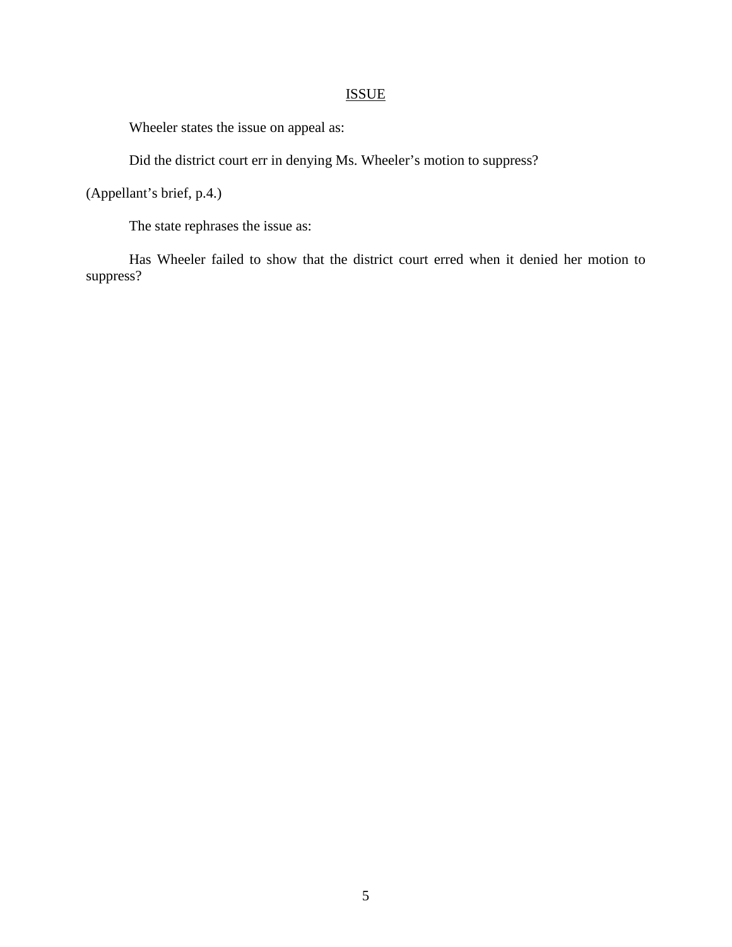# ISSUE

Wheeler states the issue on appeal as:

Did the district court err in denying Ms. Wheeler's motion to suppress?

(Appellant's brief, p.4.)

The state rephrases the issue as:

Has Wheeler failed to show that the district court erred when it denied her motion to suppress?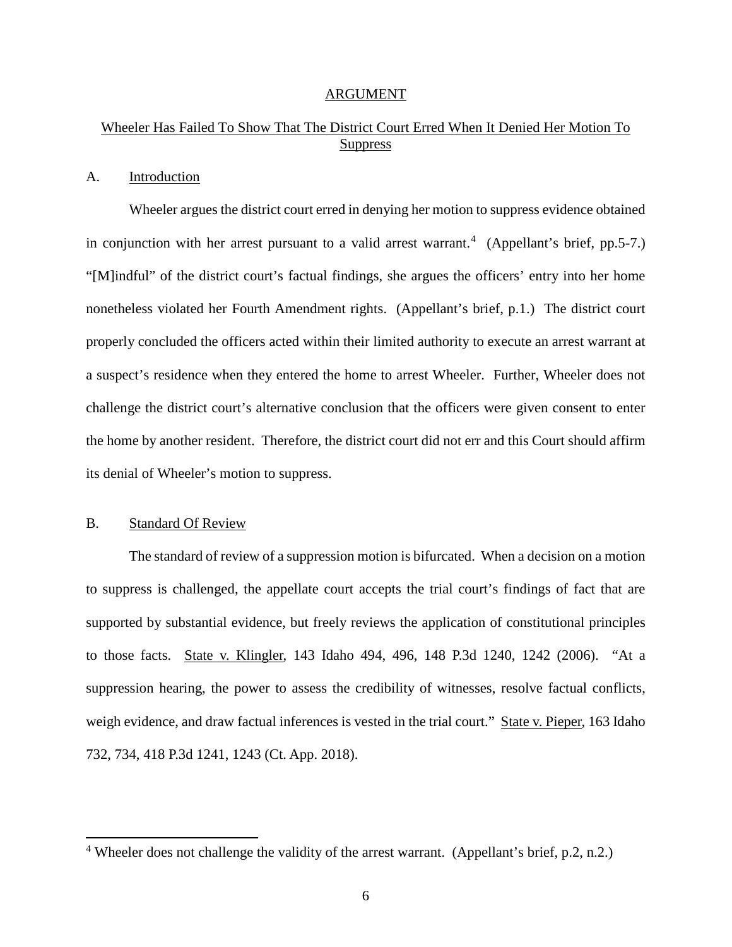#### ARGUMENT

# Wheeler Has Failed To Show That The District Court Erred When It Denied Her Motion To **Suppress**

#### A. Introduction

Wheeler argues the district court erred in denying her motion to suppress evidence obtained in conjunction with her arrest pursuant to a valid arrest warrant.<sup>[4](#page-9-0)</sup> (Appellant's brief, pp.5-7.) "[M]indful" of the district court's factual findings, she argues the officers' entry into her home nonetheless violated her Fourth Amendment rights. (Appellant's brief, p.1.) The district court properly concluded the officers acted within their limited authority to execute an arrest warrant at a suspect's residence when they entered the home to arrest Wheeler. Further, Wheeler does not challenge the district court's alternative conclusion that the officers were given consent to enter the home by another resident. Therefore, the district court did not err and this Court should affirm its denial of Wheeler's motion to suppress.

### B. Standard Of Review

 $\overline{a}$ 

The standard of review of a suppression motion is bifurcated. When a decision on a motion to suppress is challenged, the appellate court accepts the trial court's findings of fact that are supported by substantial evidence, but freely reviews the application of constitutional principles to those facts. State v. Klingler, 143 Idaho 494, 496, 148 P.3d 1240, 1242 (2006). "At a suppression hearing, the power to assess the credibility of witnesses, resolve factual conflicts, weigh evidence, and draw factual inferences is vested in the trial court." State v. Pieper, 163 Idaho 732, 734, 418 P.3d 1241, 1243 (Ct. App. 2018).

<span id="page-9-0"></span><sup>&</sup>lt;sup>4</sup> Wheeler does not challenge the validity of the arrest warrant. (Appellant's brief, p.2, n.2.)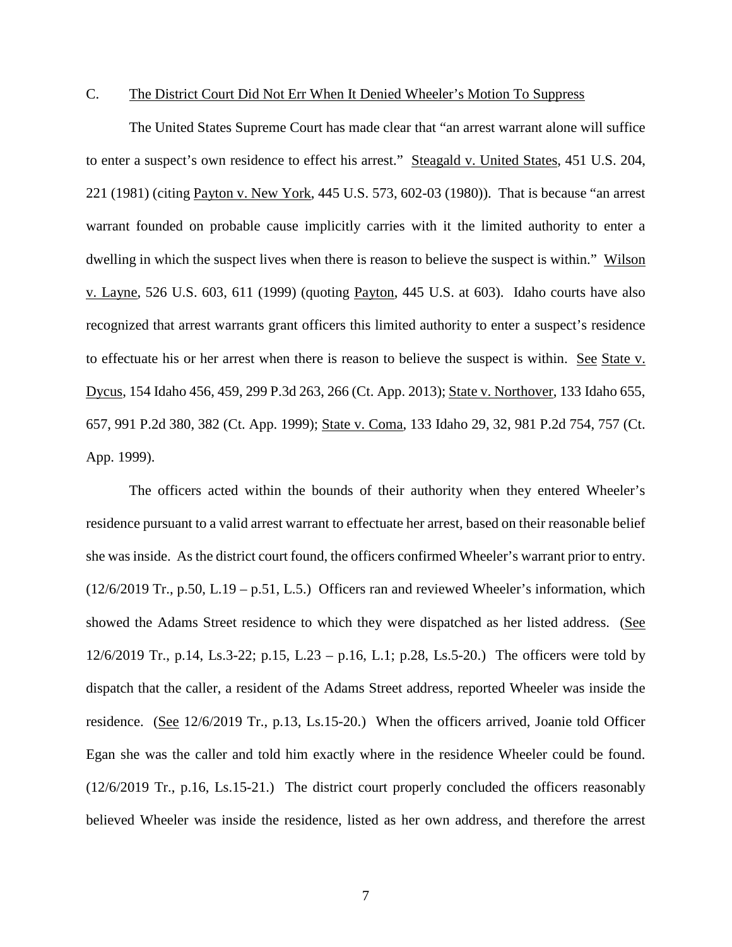## C. The District Court Did Not Err When It Denied Wheeler's Motion To Suppress

The United States Supreme Court has made clear that "an arrest warrant alone will suffice to enter a suspect's own residence to effect his arrest." Steagald v. United States, 451 U.S. 204, 221 (1981) (citing Payton v. New York, 445 U.S. 573, 602-03 (1980)). That is because "an arrest warrant founded on probable cause implicitly carries with it the limited authority to enter a dwelling in which the suspect lives when there is reason to believe the suspect is within." Wilson v. Layne, 526 U.S. 603, 611 (1999) (quoting Payton, 445 U.S. at 603). Idaho courts have also recognized that arrest warrants grant officers this limited authority to enter a suspect's residence to effectuate his or her arrest when there is reason to believe the suspect is within. See State v. Dycus, 154 Idaho 456, 459, 299 P.3d 263, 266 (Ct. App. 2013); State v. Northover, 133 Idaho 655, 657, 991 P.2d 380, 382 (Ct. App. 1999); State v. Coma, 133 Idaho 29, 32, 981 P.2d 754, 757 (Ct. App. 1999).

The officers acted within the bounds of their authority when they entered Wheeler's residence pursuant to a valid arrest warrant to effectuate her arrest, based on their reasonable belief she was inside. As the district court found, the officers confirmed Wheeler's warrant prior to entry. (12/6/2019 Tr., p.50, L.19 – p.51, L.5.) Officers ran and reviewed Wheeler's information, which showed the Adams Street residence to which they were dispatched as her listed address. (See 12/6/2019 Tr., p.14, Ls.3-22; p.15, L.23 – p.16, L.1; p.28, Ls.5-20.) The officers were told by dispatch that the caller, a resident of the Adams Street address, reported Wheeler was inside the residence. (See 12/6/2019 Tr., p.13, Ls.15-20.) When the officers arrived, Joanie told Officer Egan she was the caller and told him exactly where in the residence Wheeler could be found. (12/6/2019 Tr., p.16, Ls.15-21.) The district court properly concluded the officers reasonably believed Wheeler was inside the residence, listed as her own address, and therefore the arrest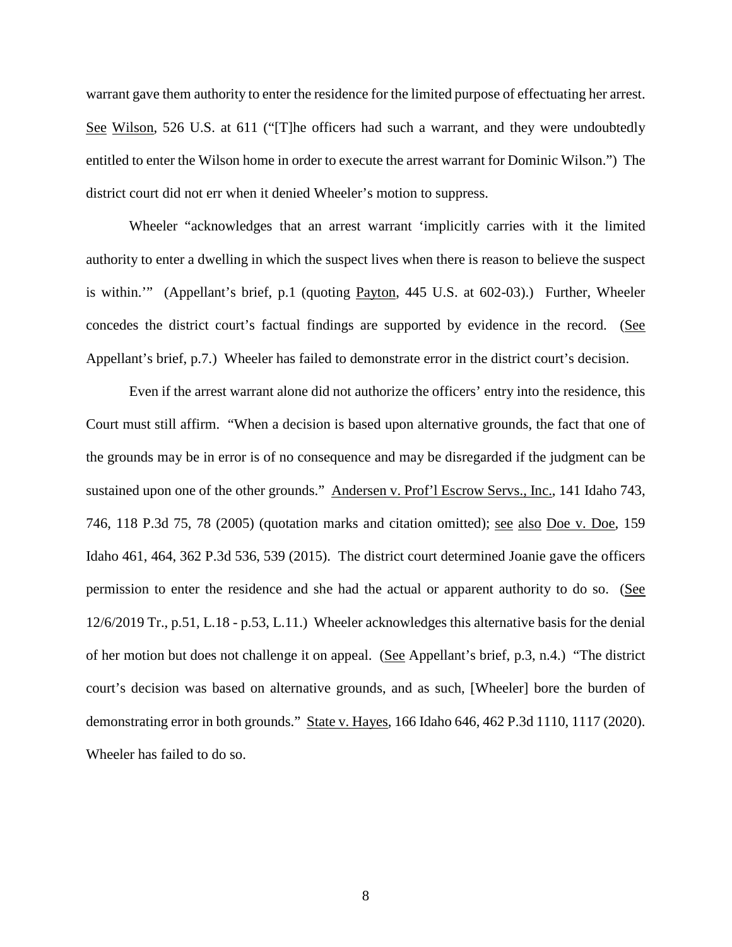warrant gave them authority to enter the residence for the limited purpose of effectuating her arrest. See Wilson, 526 U.S. at 611 ("[T]he officers had such a warrant, and they were undoubtedly entitled to enter the Wilson home in order to execute the arrest warrant for Dominic Wilson.") The district court did not err when it denied Wheeler's motion to suppress.

Wheeler "acknowledges that an arrest warrant 'implicitly carries with it the limited authority to enter a dwelling in which the suspect lives when there is reason to believe the suspect is within.'" (Appellant's brief, p.1 (quoting Payton, 445 U.S. at 602-03).) Further, Wheeler concedes the district court's factual findings are supported by evidence in the record. (See Appellant's brief, p.7.) Wheeler has failed to demonstrate error in the district court's decision.

Even if the arrest warrant alone did not authorize the officers' entry into the residence, this Court must still affirm. "When a decision is based upon alternative grounds, the fact that one of the grounds may be in error is of no consequence and may be disregarded if the judgment can be sustained upon one of the other grounds." Andersen v. Prof'l Escrow Servs., Inc., 141 Idaho 743, 746, 118 P.3d 75, 78 (2005) (quotation marks and citation omitted); see also Doe v. Doe, 159 Idaho 461, 464, 362 P.3d 536, 539 (2015). The district court determined Joanie gave the officers permission to enter the residence and she had the actual or apparent authority to do so. (See 12/6/2019 Tr., p.51, L.18 - p.53, L.11.) Wheeler acknowledges this alternative basis for the denial of her motion but does not challenge it on appeal. (See Appellant's brief, p.3, n.4.) "The district court's decision was based on alternative grounds, and as such, [Wheeler] bore the burden of demonstrating error in both grounds." State v. Hayes, 166 Idaho 646, 462 P.3d 1110, 1117 (2020). Wheeler has failed to do so.